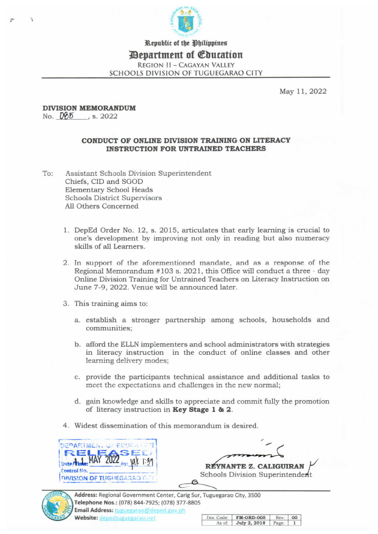

## Republic of the Philippines

## *Pepartment of Couration*

**REGION II - CAGAYAN VALLEY** SCHOOLS DIVISION OF TUGUEGARAO CITY

May 11, 2022

**DIVISION MEMORANDUM** No. 085 . s. 2022

## CONDUCT OF ONLINE DIVISION TRAINING ON LITERACY **INSTRUCTION FOR UNTRAINED TEACHERS**

- Assistant Schools Division Superintendent To: Chiefs, CID and SGOD **Elementary School Heads Schools District Supervisors** All Others Concerned
	- 1. DepEd Order No. 12, s. 2015, articulates that early learning is crucial to one's development by improving not only in reading but also numeracy skills of all Learners.
	- 2. In support of the aforementioned mandate, and as a response of the Regional Memorandum #103 s. 2021, this Office will conduct a three - day Online Division Training for Untrained Teachers on Literacy Instruction on June 7-9, 2022. Venue will be announced later.
	- 3. This training aims to:
		- a. establish a stronger partnership among schools, households and communities:
		- b. afford the ELLN implementers and school administrators with strategies in literacy instruction in the conduct of online classes and other learning delivery modes;
		- c. provide the participants technical assistance and additional tasks to meet the expectations and challenges in the new normal;
		- d. gain knowledge and skills to appreciate and commit fully the promotion of literacy instruction in **Key Stage 1 & 2**.
	- 4. Widest dissemination of this memorandum is desired.



REYNANTE Z. CALIGUIRAN Schools Division Superintendent



Address: Regional Government Center, Carig Sur, Tuguegarao City, 3500 Telephone Nos.: (078) 844-7925; (078) 377-8805 Email Address: tuguegarao@deped.gov.ph Website: depedtuguegarao.net

| Doc Code: $\mathbf{FM}\text{-}\mathbf{ORD}\text{-}\mathbf{005}$ | Rev: 00 |  |
|-----------------------------------------------------------------|---------|--|
| As of:   July 2, 2018   Page:   1                               |         |  |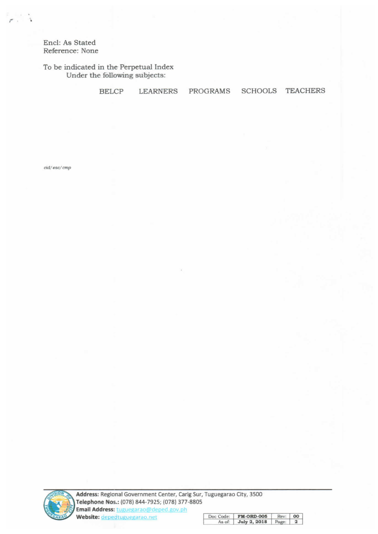Encl: As Stated Reference: None

To be indicated in the Perpetual Index Under the following subjects:

> **BELCP LEARNERS**

**PROGRAMS** 

SCHOOLS TEACHERS

cid/esc/cmp



Address: Regional Government Center, Carig Sur, Tuguegarao City, 3500 Telephone Nos.: (078) 844-7925; (078) 377-8805<br>Email Address: tuguegarao@deped.gov.ph

E

Website: depedtuguegarao.net

| Doc Code: FM-ORD-005 Rev: 00 |  |
|------------------------------|--|
| As of: July 2, 2018 Page: 2  |  |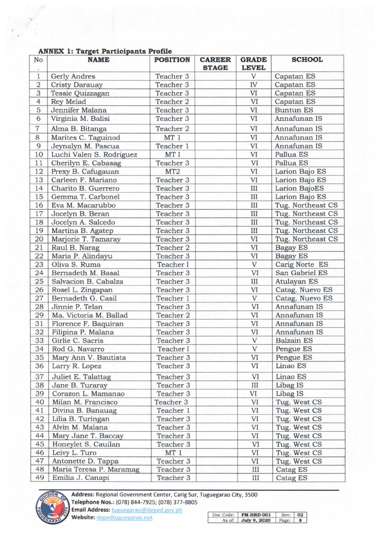| No             | <b>NAME</b>              | <b>POSITION</b>      | <b>CAREER</b> | <b>GRADE</b> | <b>SCHOOL</b>     |
|----------------|--------------------------|----------------------|---------------|--------------|-------------------|
|                |                          |                      | <b>STAGE</b>  | <b>LEVEL</b> |                   |
| $1\,$          | Gerly Andres             | Teacher 3            |               | V            | Capatan ES        |
| $\overline{2}$ | <b>Cristy Darauay</b>    | Teacher 3            |               | IV           | Capatan ES        |
| 3              | Tessie Quizzagan         | Teacher 3            |               | VI           | Capatan ES        |
| $\overline{4}$ | <b>Rey Melad</b>         | Teacher 2            |               | VI           | Capatan ES        |
| 5              | Jennifer Malana          | Teacher 3            |               | VI           | <b>Buntun ES</b>  |
| 6              | Virginia M. Balisi       | Teacher 3            |               | VI           | Annafunan IS      |
| $\overline{7}$ | Alma B. Bitanga          | Teacher 2            |               | VI           | Annafunan IS      |
| 8              | Marites C. Taguinod      | MT 1                 |               | VI           | Annafunan IS      |
| 9              | Jeynalyn M. Pascua       | Teacher 1            |               | VI           | Annafunan IS      |
| 10             | Luchi Valen S. Rodriguez | MT I                 |               | VI           | Pallua ES         |
| 11             | Cherilyn E. Cabasag      | Teacher 3            |               | VI           | Pallua ES         |
| 12             | Prexy B. Cafugauan       | MT <sub>2</sub>      |               | VI           | Larion Bajo ES    |
| 13             | Carleen F. Mariano       | Teacher 3            |               | VI           | Larion Bajo ES    |
| 14             | Charito B. Guerrero      | Teacher 3            |               | III          | Larion BajoES     |
| 15             | Gemma T. Carbonel        | Teacher 3            |               | $\rm III$    | Larion Bajo ES    |
| 16             | Eva M. Macarubbo         | Teacher 3            |               | III          | Tug. Northeast CS |
| 17             | Jocelyn B. Beran         | Teacher 3            |               | $\rm III$    | Tug. Northeast CS |
| 18             | Jocelyn A. Salcedo       | Teacher 3            |               | III          | Tug. Northeast CS |
| 19             | Martina B. Agatep        | Teacher 3            |               | III          | Tug. Northeast CS |
| 20             | Marjorie T. Tamaray      | Teacher 3            |               | VI           | Tug. Northeast CS |
| 21             | Raul B. Narag            | Teacher 2            |               | VI           | <b>Bagay ES</b>   |
| 22             | Maria P. Alindayu        | Teacher 3            |               | VI           | <b>Bagay ES</b>   |
| 23             | Oliva S. Ruma            | Teacher I            |               | V            | Carig Norte ES    |
| 24             | Bernadeth M. Basal       | Teacher 3            |               | VI           | San Gabriel ES    |
| 25             | Salvacion B. Cabalza     | Teacher 3            |               | Ш            | Atulayan ES       |
| 26             | Rosel L. Zingapan        | Teacher 3            |               | VI           | Catag. Nuevo ES   |
| 27             | Bernadeth G. Casil       | Teacher 1            |               | V            | Catag. Nuevo ES   |
| 28             | Jinnie P. Telan          | Teacher 3            |               | VI           | Annafunan IS      |
| 29             | Ma. Victoria M. Ballad   | Teacher 2            |               | VI           | Annafunan IS      |
| 31             | Florence F. Baquiran     | Teacher 3            |               | VI           | Annafunan IS      |
| 32             | Filipina P. Malana       | Teacher 3            |               | VI           | Annafunan IS      |
| 33             | Girlie C. Sacris         | Teacher 3            |               | V            | <b>Balzain ES</b> |
| 34             | Rod G. Navarro           | Teacher I            |               | V            | Pengue ES         |
| 35             | Mary Ann V. Bautista     | Teacher 3            |               | VI           | Pengue ES         |
| 36             | Larry R. Lopez           | Teacher <sub>3</sub> |               | VI           | Linao ES          |
| 37             | Juliet E. Talattag       | Teacher 3            |               | VI           | Linao ES          |
| 38             | Jane B. Turaray          | Teacher 3            |               | Ш            | Libag IS          |
| 39             | Corazon L. Mamanao       | Teacher 3            |               | VI           | Libag IS          |
| 40             | Milan M. Francisco       | Teacher 3            |               | VI           | Tug. West CS      |
| 41             | Divina B. Banauag        | Teacher 1            |               | VI           | Tug. West CS      |
| 42             | Lilia B. Turingan        | Teacher 3            |               | VI           | Tug. West CS      |
| 43             | Alvin M. Malana          | Teacher 3            |               | VI           | Tug. West CS      |
| 44             | Mary Jane T. Baccay      | Teacher 3            |               | VI           | Tug. West CS      |
| 45             | Honeylet S. Cauilan      | Teacher 3            |               | VI           | Tug. West CS      |
| 46             | Leivy L. Turo            | $MT_1$               |               | $\mbox{VI}$  | Tug. West CS      |
| 47             | Antonette D. Tappa       | Teacher 3            |               | VI           | Tug. West CS      |
| 48             | Maria Teresa P. Maramag  | Teacher 3            |               | Ш            | Catag ES          |
| 49             | Emilia J. Canapi         | Teacher 3            |               | $\rm III$    | Catag ES          |

## **ANNEX 1: Target Participants Profile**



Address: Regional Government Center, Carig Sur, Tuguegarao City, 3500<br>Telephone Nos.: (078) 844-7925; (078) 377-8805 Email Address: tuguegarao@deped.gov.ph<br>Website: depedtuguegarao.net  $\boxed{1}$ 

| Doc Code: | <b>FM-HRD-001</b> | Rev:  | 02 |
|-----------|-------------------|-------|----|
| As of:    | July 9, 2020      | Page: |    |